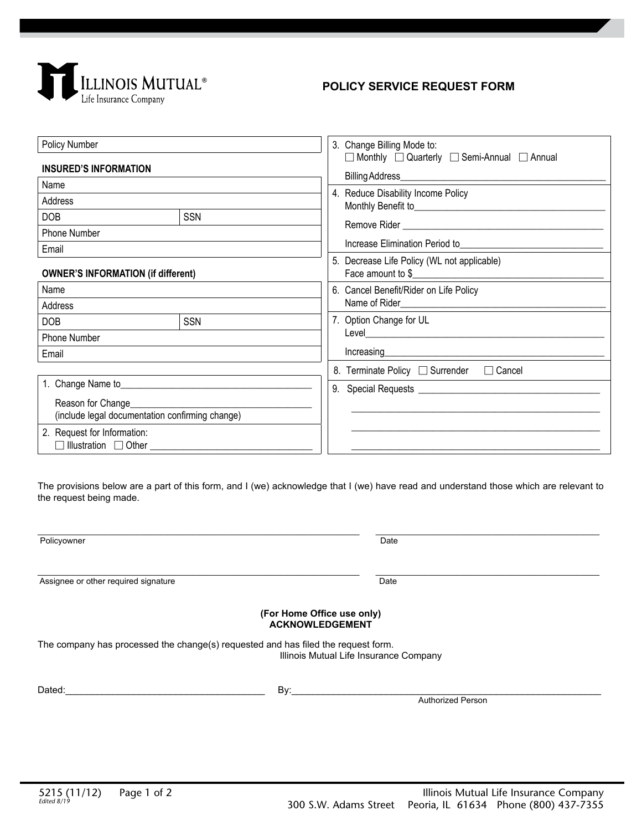

## **POLICY SERVICE REQUEST FORM**

| Policy Number                                                  |            | 3. Change Billing Mode to:<br>□ Monthly □ Quarterly □ Semi-Annual □ Annual<br>4. Reduce Disability Income Policy                                                               |
|----------------------------------------------------------------|------------|--------------------------------------------------------------------------------------------------------------------------------------------------------------------------------|
| <b>INSURED'S INFORMATION</b>                                   |            |                                                                                                                                                                                |
| Name                                                           |            |                                                                                                                                                                                |
| Address                                                        |            |                                                                                                                                                                                |
| <b>DOB</b>                                                     | <b>SSN</b> |                                                                                                                                                                                |
| Phone Number                                                   |            | Increase Elimination Period to                                                                                                                                                 |
| Email                                                          |            |                                                                                                                                                                                |
| <b>OWNER'S INFORMATION (if different)</b>                      |            | 5. Decrease Life Policy (WL not applicable)<br>Face amount to \$                                                                                                               |
| Name                                                           |            | 6. Cancel Benefit/Rider on Life Policy                                                                                                                                         |
| Address                                                        |            |                                                                                                                                                                                |
| <b>DOB</b>                                                     | <b>SSN</b> | 7. Option Change for UL                                                                                                                                                        |
| Phone Number                                                   |            | Level <b>Level Level Level Level Level Level Level Level Level Level Level Level Level Level Level Level Level Level Level Level Level Level Level Level Level Level Level</b> |
| Email                                                          |            |                                                                                                                                                                                |
|                                                                |            | 8. Terminate Policy □ Surrender □ Cancel                                                                                                                                       |
|                                                                |            |                                                                                                                                                                                |
| Reason for Change                                              |            |                                                                                                                                                                                |
| (include legal documentation confirming change)                |            |                                                                                                                                                                                |
| 2. Request for Information:<br>□ Illustration □ Other ________ |            |                                                                                                                                                                                |
|                                                                |            |                                                                                                                                                                                |

The provisions below are a part of this form, and I (we) acknowledge that I (we) have read and understand those which are relevant to the request being made.

| Policyowner                                                                       | Date                                   |
|-----------------------------------------------------------------------------------|----------------------------------------|
| Assignee or other required signature                                              | Date                                   |
| (For Home Office use only)<br><b>ACKNOWLEDGEMENT</b>                              |                                        |
| The company has processed the change(s) requested and has filed the request form. | Illinois Mutual Life Insurance Company |
| Dated:<br>By:                                                                     | <b>Authorized Person</b>               |
|                                                                                   |                                        |